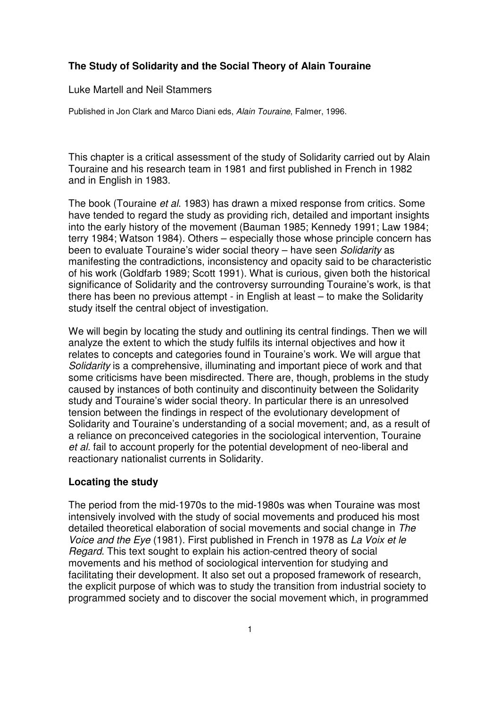# **The Study of Solidarity and the Social Theory of Alain Touraine**

Luke Martell and Neil Stammers

Published in Jon Clark and Marco Diani eds, Alain Touraine, Falmer, 1996.

This chapter is a critical assessment of the study of Solidarity carried out by Alain Touraine and his research team in 1981 and first published in French in 1982 and in English in 1983.

The book (Touraine et al. 1983) has drawn a mixed response from critics. Some have tended to regard the study as providing rich, detailed and important insights into the early history of the movement (Bauman 1985; Kennedy 1991; Law 1984; terry 1984; Watson 1984). Others – especially those whose principle concern has been to evaluate Touraine's wider social theory - have seen Solidarity as manifesting the contradictions, inconsistency and opacity said to be characteristic of his work (Goldfarb 1989; Scott 1991). What is curious, given both the historical significance of Solidarity and the controversy surrounding Touraine's work, is that there has been no previous attempt - in English at least – to make the Solidarity study itself the central object of investigation.

We will begin by locating the study and outlining its central findings. Then we will analyze the extent to which the study fulfils its internal objectives and how it relates to concepts and categories found in Touraine's work. We will argue that Solidarity is a comprehensive, illuminating and important piece of work and that some criticisms have been misdirected. There are, though, problems in the study caused by instances of both continuity and discontinuity between the Solidarity study and Touraine's wider social theory. In particular there is an unresolved tension between the findings in respect of the evolutionary development of Solidarity and Touraine's understanding of a social movement; and, as a result of a reliance on preconceived categories in the sociological intervention, Touraine et al. fail to account properly for the potential development of neo-liberal and reactionary nationalist currents in Solidarity.

### **Locating the study**

The period from the mid-1970s to the mid-1980s was when Touraine was most intensively involved with the study of social movements and produced his most detailed theoretical elaboration of social movements and social change in The Voice and the Eye (1981). First published in French in 1978 as La Voix et le Regard. This text sought to explain his action-centred theory of social movements and his method of sociological intervention for studying and facilitating their development. It also set out a proposed framework of research, the explicit purpose of which was to study the transition from industrial society to programmed society and to discover the social movement which, in programmed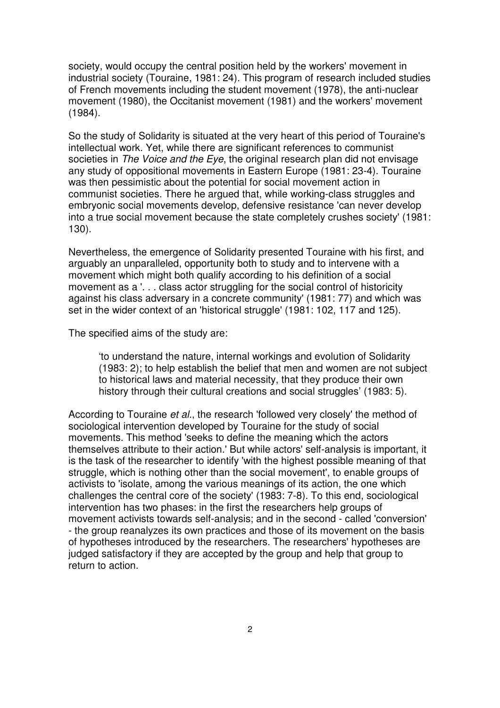society, would occupy the central position held by the workers' movement in industrial society (Touraine, 1981: 24). This program of research included studies of French movements including the student movement (1978), the anti-nuclear movement (1980), the Occitanist movement (1981) and the workers' movement (1984).

So the study of Solidarity is situated at the very heart of this period of Touraine's intellectual work. Yet, while there are significant references to communist societies in The Voice and the Eye, the original research plan did not envisage any study of oppositional movements in Eastern Europe (1981: 23-4). Touraine was then pessimistic about the potential for social movement action in communist societies. There he argued that, while working-class struggles and embryonic social movements develop, defensive resistance 'can never develop into a true social movement because the state completely crushes society' (1981: 130).

Nevertheless, the emergence of Solidarity presented Touraine with his first, and arguably an unparalleled, opportunity both to study and to intervene with a movement which might both qualify according to his definition of a social movement as a '. . . class actor struggling for the social control of historicity against his class adversary in a concrete community' (1981: 77) and which was set in the wider context of an 'historical struggle' (1981: 102, 117 and 125).

The specified aims of the study are:

'to understand the nature, internal workings and evolution of Solidarity (1983: 2); to help establish the belief that men and women are not subject to historical laws and material necessity, that they produce their own history through their cultural creations and social struggles' (1983: 5).

According to Touraine et al., the research 'followed very closely' the method of sociological intervention developed by Touraine for the study of social movements. This method 'seeks to define the meaning which the actors themselves attribute to their action.' But while actors' self-analysis is important, it is the task of the researcher to identify 'with the highest possible meaning of that struggle, which is nothing other than the social movement', to enable groups of activists to 'isolate, among the various meanings of its action, the one which challenges the central core of the society' (1983: 7-8). To this end, sociological intervention has two phases: in the first the researchers help groups of movement activists towards self-analysis; and in the second - called 'conversion' - the group reanalyzes its own practices and those of its movement on the basis of hypotheses introduced by the researchers. The researchers' hypotheses are judged satisfactory if they are accepted by the group and help that group to return to action.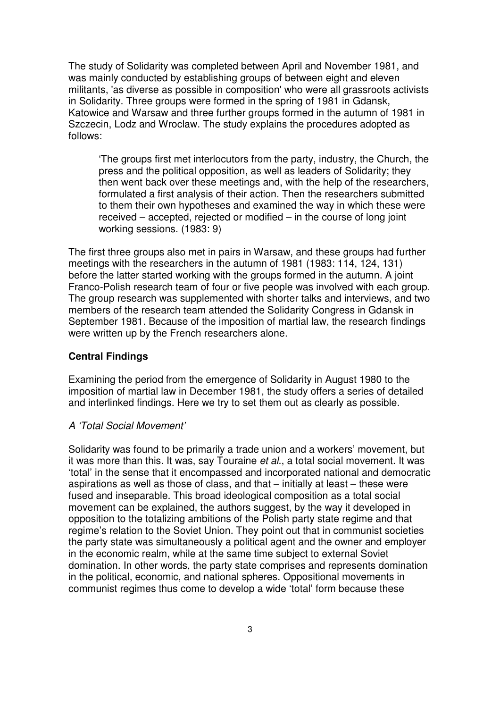The study of Solidarity was completed between April and November 1981, and was mainly conducted by establishing groups of between eight and eleven militants, 'as diverse as possible in composition' who were all grassroots activists in Solidarity. Three groups were formed in the spring of 1981 in Gdansk, Katowice and Warsaw and three further groups formed in the autumn of 1981 in Szczecin, Lodz and Wroclaw. The study explains the procedures adopted as follows:

'The groups first met interlocutors from the party, industry, the Church, the press and the political opposition, as well as leaders of Solidarity; they then went back over these meetings and, with the help of the researchers, formulated a first analysis of their action. Then the researchers submitted to them their own hypotheses and examined the way in which these were received – accepted, rejected or modified – in the course of long joint working sessions. (1983: 9)

The first three groups also met in pairs in Warsaw, and these groups had further meetings with the researchers in the autumn of 1981 (1983: 114, 124, 131) before the latter started working with the groups formed in the autumn. A joint Franco-Polish research team of four or five people was involved with each group. The group research was supplemented with shorter talks and interviews, and two members of the research team attended the Solidarity Congress in Gdansk in September 1981. Because of the imposition of martial law, the research findings were written up by the French researchers alone.

## **Central Findings**

Examining the period from the emergence of Solidarity in August 1980 to the imposition of martial law in December 1981, the study offers a series of detailed and interlinked findings. Here we try to set them out as clearly as possible.

# A 'Total Social Movement'

Solidarity was found to be primarily a trade union and a workers' movement, but it was more than this. It was, say Touraine et al., a total social movement. It was 'total' in the sense that it encompassed and incorporated national and democratic aspirations as well as those of class, and that – initially at least – these were fused and inseparable. This broad ideological composition as a total social movement can be explained, the authors suggest, by the way it developed in opposition to the totalizing ambitions of the Polish party state regime and that regime's relation to the Soviet Union. They point out that in communist societies the party state was simultaneously a political agent and the owner and employer in the economic realm, while at the same time subject to external Soviet domination. In other words, the party state comprises and represents domination in the political, economic, and national spheres. Oppositional movements in communist regimes thus come to develop a wide 'total' form because these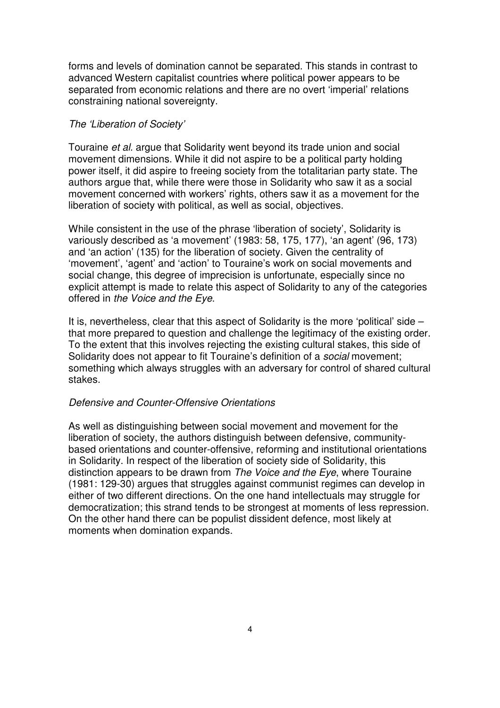forms and levels of domination cannot be separated. This stands in contrast to advanced Western capitalist countries where political power appears to be separated from economic relations and there are no overt 'imperial' relations constraining national sovereignty.

#### The 'Liberation of Society'

Touraine et al. argue that Solidarity went beyond its trade union and social movement dimensions. While it did not aspire to be a political party holding power itself, it did aspire to freeing society from the totalitarian party state. The authors argue that, while there were those in Solidarity who saw it as a social movement concerned with workers' rights, others saw it as a movement for the liberation of society with political, as well as social, objectives.

While consistent in the use of the phrase 'liberation of society', Solidarity is variously described as 'a movement' (1983: 58, 175, 177), 'an agent' (96, 173) and 'an action' (135) for the liberation of society. Given the centrality of 'movement', 'agent' and 'action' to Touraine's work on social movements and social change, this degree of imprecision is unfortunate, especially since no explicit attempt is made to relate this aspect of Solidarity to any of the categories offered in the Voice and the Eye.

It is, nevertheless, clear that this aspect of Solidarity is the more 'political' side – that more prepared to question and challenge the legitimacy of the existing order. To the extent that this involves rejecting the existing cultural stakes, this side of Solidarity does not appear to fit Touraine's definition of a *social* movement; something which always struggles with an adversary for control of shared cultural stakes.

# Defensive and Counter-Offensive Orientations

As well as distinguishing between social movement and movement for the liberation of society, the authors distinguish between defensive, communitybased orientations and counter-offensive, reforming and institutional orientations in Solidarity. In respect of the liberation of society side of Solidarity, this distinction appears to be drawn from The Voice and the Eye, where Touraine (1981: 129-30) argues that struggles against communist regimes can develop in either of two different directions. On the one hand intellectuals may struggle for democratization; this strand tends to be strongest at moments of less repression. On the other hand there can be populist dissident defence, most likely at moments when domination expands.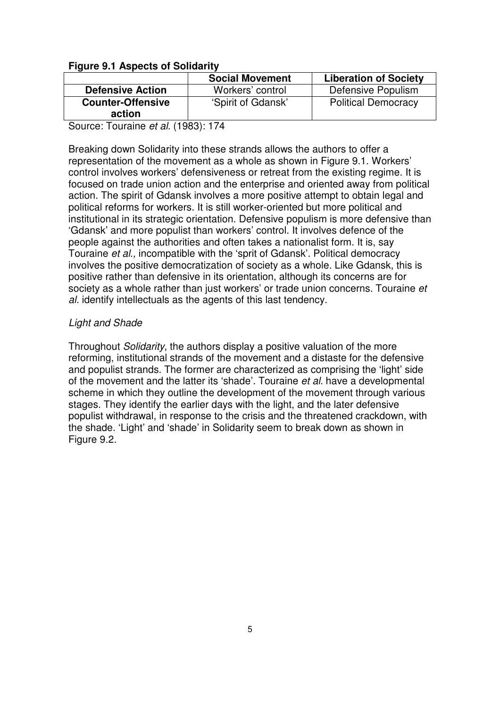# **Figure 9.1 Aspects of Solidarity**

|                          | <b>Social Movement</b> | <b>Liberation of Society</b> |
|--------------------------|------------------------|------------------------------|
| <b>Defensive Action</b>  | Workers' control       | Defensive Populism           |
| <b>Counter-Offensive</b> | 'Spirit of Gdansk'     | <b>Political Democracy</b>   |
| action                   |                        |                              |

Source: Touraine et al. (1983): 174

Breaking down Solidarity into these strands allows the authors to offer a representation of the movement as a whole as shown in Figure 9.1. Workers' control involves workers' defensiveness or retreat from the existing regime. It is focused on trade union action and the enterprise and oriented away from political action. The spirit of Gdansk involves a more positive attempt to obtain legal and political reforms for workers. It is still worker-oriented but more political and institutional in its strategic orientation. Defensive populism is more defensive than 'Gdansk' and more populist than workers' control. It involves defence of the people against the authorities and often takes a nationalist form. It is, say Touraine et al., incompatible with the 'sprit of Gdansk'. Political democracy involves the positive democratization of society as a whole. Like Gdansk, this is positive rather than defensive in its orientation, although its concerns are for society as a whole rather than just workers' or trade union concerns. Touraine et al. identify intellectuals as the agents of this last tendency.

# Light and Shade

Throughout Solidarity, the authors display a positive valuation of the more reforming, institutional strands of the movement and a distaste for the defensive and populist strands. The former are characterized as comprising the 'light' side of the movement and the latter its 'shade'. Touraine et al. have a developmental scheme in which they outline the development of the movement through various stages. They identify the earlier days with the light, and the later defensive populist withdrawal, in response to the crisis and the threatened crackdown, with the shade. 'Light' and 'shade' in Solidarity seem to break down as shown in Figure 9.2.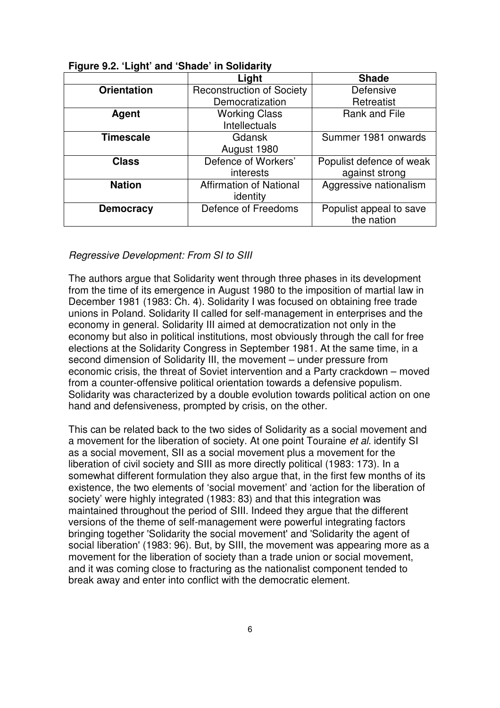| ngaro vien eight and onado in oonaanty |                                  |                          |  |
|----------------------------------------|----------------------------------|--------------------------|--|
|                                        | Light                            | <b>Shade</b>             |  |
| <b>Orientation</b>                     | <b>Reconstruction of Society</b> | Defensive                |  |
|                                        | Democratization                  | Retreatist               |  |
| Agent                                  | <b>Working Class</b>             | Rank and File            |  |
|                                        | Intellectuals                    |                          |  |
| <b>Timescale</b>                       | <b>Gdansk</b>                    | Summer 1981 onwards      |  |
|                                        | August 1980                      |                          |  |
| <b>Class</b>                           | Defence of Workers'              | Populist defence of weak |  |
|                                        | <i>interests</i>                 | against strong           |  |
| <b>Nation</b>                          | <b>Affirmation of National</b>   | Aggressive nationalism   |  |
|                                        | identity                         |                          |  |
| <b>Democracy</b>                       | Defence of Freedoms              | Populist appeal to save  |  |
|                                        |                                  | the nation               |  |

### Regressive Development: From SI to SIII

The authors argue that Solidarity went through three phases in its development from the time of its emergence in August 1980 to the imposition of martial law in December 1981 (1983: Ch. 4). Solidarity I was focused on obtaining free trade unions in Poland. Solidarity II called for self-management in enterprises and the economy in general. Solidarity III aimed at democratization not only in the economy but also in political institutions, most obviously through the call for free elections at the Solidarity Congress in September 1981. At the same time, in a second dimension of Solidarity III, the movement – under pressure from economic crisis, the threat of Soviet intervention and a Party crackdown – moved from a counter-offensive political orientation towards a defensive populism. Solidarity was characterized by a double evolution towards political action on one hand and defensiveness, prompted by crisis, on the other.

This can be related back to the two sides of Solidarity as a social movement and a movement for the liberation of society. At one point Touraine et al. identify SI as a social movement, SII as a social movement plus a movement for the liberation of civil society and SIII as more directly political (1983: 173). In a somewhat different formulation they also argue that, in the first few months of its existence, the two elements of 'social movement' and 'action for the liberation of society' were highly integrated (1983: 83) and that this integration was maintained throughout the period of SIII. Indeed they argue that the different versions of the theme of self-management were powerful integrating factors bringing together 'Solidarity the social movement' and 'Solidarity the agent of social liberation' (1983: 96). But, by SIII, the movement was appearing more as a movement for the liberation of society than a trade union or social movement, and it was coming close to fracturing as the nationalist component tended to break away and enter into conflict with the democratic element.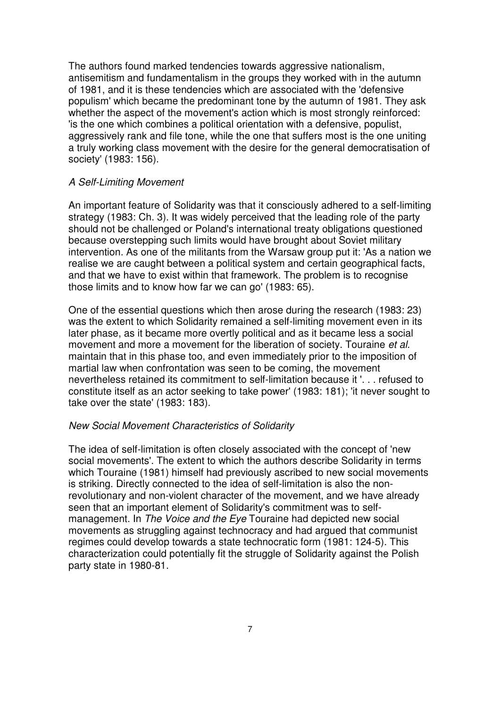The authors found marked tendencies towards aggressive nationalism, antisemitism and fundamentalism in the groups they worked with in the autumn of 1981, and it is these tendencies which are associated with the 'defensive populism' which became the predominant tone by the autumn of 1981. They ask whether the aspect of the movement's action which is most strongly reinforced: 'is the one which combines a political orientation with a defensive, populist, aggressively rank and file tone, while the one that suffers most is the one uniting a truly working class movement with the desire for the general democratisation of society' (1983: 156).

#### A Self-Limiting Movement

An important feature of Solidarity was that it consciously adhered to a self-limiting strategy (1983: Ch. 3). It was widely perceived that the leading role of the party should not be challenged or Poland's international treaty obligations questioned because overstepping such limits would have brought about Soviet military intervention. As one of the militants from the Warsaw group put it: 'As a nation we realise we are caught between a political system and certain geographical facts, and that we have to exist within that framework. The problem is to recognise those limits and to know how far we can go' (1983: 65).

One of the essential questions which then arose during the research (1983: 23) was the extent to which Solidarity remained a self-limiting movement even in its later phase, as it became more overtly political and as it became less a social movement and more a movement for the liberation of society. Touraine et al. maintain that in this phase too, and even immediately prior to the imposition of martial law when confrontation was seen to be coming, the movement nevertheless retained its commitment to self-limitation because it '. . . refused to constitute itself as an actor seeking to take power' (1983: 181); 'it never sought to take over the state' (1983: 183).

#### New Social Movement Characteristics of Solidarity

The idea of self-limitation is often closely associated with the concept of 'new social movements'. The extent to which the authors describe Solidarity in terms which Touraine (1981) himself had previously ascribed to new social movements is striking. Directly connected to the idea of self-limitation is also the nonrevolutionary and non-violent character of the movement, and we have already seen that an important element of Solidarity's commitment was to selfmanagement. In The Voice and the Eye Touraine had depicted new social movements as struggling against technocracy and had argued that communist regimes could develop towards a state technocratic form (1981: 124-5). This characterization could potentially fit the struggle of Solidarity against the Polish party state in 1980-81.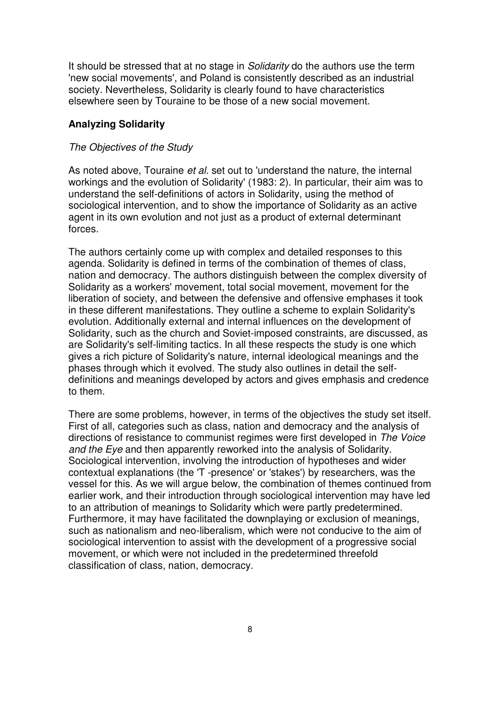It should be stressed that at no stage in *Solidarity* do the authors use the term 'new social movements', and Poland is consistently described as an industrial society. Nevertheless, Solidarity is clearly found to have characteristics elsewhere seen by Touraine to be those of a new social movement.

# **Analyzing Solidarity**

### The Objectives of the Study

As noted above, Touraine et al. set out to 'understand the nature, the internal workings and the evolution of Solidarity' (1983: 2). In particular, their aim was to understand the self-definitions of actors in Solidarity, using the method of sociological intervention, and to show the importance of Solidarity as an active agent in its own evolution and not just as a product of external determinant forces.

The authors certainly come up with complex and detailed responses to this agenda. Solidarity is defined in terms of the combination of themes of class, nation and democracy. The authors distinguish between the complex diversity of Solidarity as a workers' movement, total social movement, movement for the liberation of society, and between the defensive and offensive emphases it took in these different manifestations. They outline a scheme to explain Solidarity's evolution. Additionally external and internal influences on the development of Solidarity, such as the church and Soviet-imposed constraints, are discussed, as are Solidarity's self-limiting tactics. In all these respects the study is one which gives a rich picture of Solidarity's nature, internal ideological meanings and the phases through which it evolved. The study also outlines in detail the selfdefinitions and meanings developed by actors and gives emphasis and credence to them.

There are some problems, however, in terms of the objectives the study set itself. First of all, categories such as class, nation and democracy and the analysis of directions of resistance to communist regimes were first developed in The Voice and the Eye and then apparently reworked into the analysis of Solidarity. Sociological intervention, involving the introduction of hypotheses and wider contextual explanations (the 'T -presence' or 'stakes') by researchers, was the vessel for this. As we will argue below, the combination of themes continued from earlier work, and their introduction through sociological intervention may have led to an attribution of meanings to Solidarity which were partly predetermined. Furthermore, it may have facilitated the downplaying or exclusion of meanings, such as nationalism and neo-liberalism, which were not conducive to the aim of sociological intervention to assist with the development of a progressive social movement, or which were not included in the predetermined threefold classification of class, nation, democracy.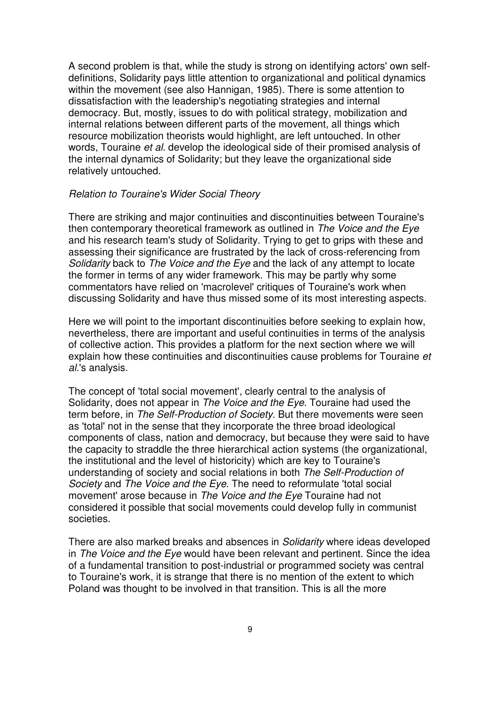A second problem is that, while the study is strong on identifying actors' own selfdefinitions, Solidarity pays little attention to organizational and political dynamics within the movement (see also Hannigan, 1985). There is some attention to dissatisfaction with the leadership's negotiating strategies and internal democracy. But, mostly, issues to do with political strategy, mobilization and internal relations between different parts of the movement, all things which resource mobilization theorists would highlight, are left untouched. In other words, Touraine et al. develop the ideological side of their promised analysis of the internal dynamics of Solidarity; but they leave the organizational side relatively untouched.

#### Relation to Touraine's Wider Social Theory

There are striking and major continuities and discontinuities between Touraine's then contemporary theoretical framework as outlined in The Voice and the Eye and his research team's study of Solidarity. Trying to get to grips with these and assessing their significance are frustrated by the lack of cross-referencing from Solidarity back to The Voice and the Eye and the lack of any attempt to locate the former in terms of any wider framework. This may be partly why some commentators have relied on 'macrolevel' critiques of Touraine's work when discussing Solidarity and have thus missed some of its most interesting aspects.

Here we will point to the important discontinuities before seeking to explain how, nevertheless, there are important and useful continuities in terms of the analysis of collective action. This provides a platform for the next section where we will explain how these continuities and discontinuities cause problems for Touraine et al.'s analysis.

The concept of 'total social movement', clearly central to the analysis of Solidarity, does not appear in The Voice and the Eye. Touraine had used the term before, in The Self-Production of Society. But there movements were seen as 'total' not in the sense that they incorporate the three broad ideological components of class, nation and democracy, but because they were said to have the capacity to straddle the three hierarchical action systems (the organizational, the institutional and the level of historicity) which are key to Touraine's understanding of society and social relations in both The Self-Production of Society and The Voice and the Eye. The need to reformulate 'total social movement' arose because in The Voice and the Eye Touraine had not considered it possible that social movements could develop fully in communist societies.

There are also marked breaks and absences in Solidarity where ideas developed in The Voice and the Eye would have been relevant and pertinent. Since the idea of a fundamental transition to post-industrial or programmed society was central to Touraine's work, it is strange that there is no mention of the extent to which Poland was thought to be involved in that transition. This is all the more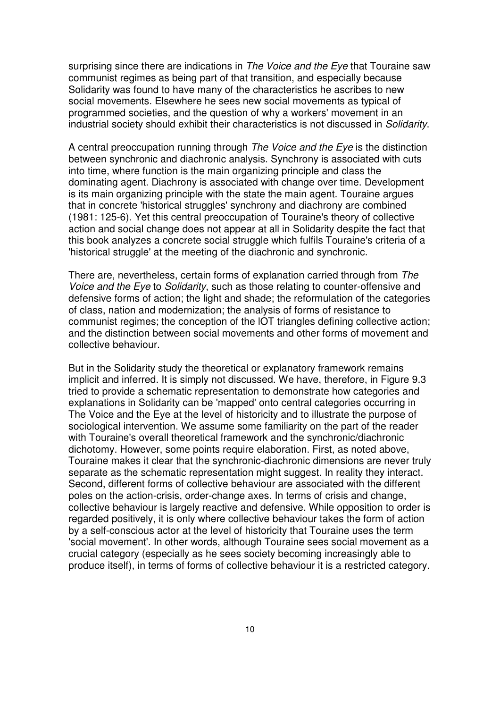surprising since there are indications in The Voice and the Eye that Touraine saw communist regimes as being part of that transition, and especially because Solidarity was found to have many of the characteristics he ascribes to new social movements. Elsewhere he sees new social movements as typical of programmed societies, and the question of why a workers' movement in an industrial society should exhibit their characteristics is not discussed in Solidarity.

A central preoccupation running through The Voice and the Eye is the distinction between synchronic and diachronic analysis. Synchrony is associated with cuts into time, where function is the main organizing principle and class the dominating agent. Diachrony is associated with change over time. Development is its main organizing principle with the state the main agent. Touraine argues that in concrete 'historical struggles' synchrony and diachrony are combined (1981: 125-6). Yet this central preoccupation of Touraine's theory of collective action and social change does not appear at all in Solidarity despite the fact that this book analyzes a concrete social struggle which fulfils Touraine's criteria of a 'historical struggle' at the meeting of the diachronic and synchronic.

There are, nevertheless, certain forms of explanation carried through from The Voice and the Eye to Solidarity, such as those relating to counter-offensive and defensive forms of action; the light and shade; the reformulation of the categories of class, nation and modernization; the analysis of forms of resistance to communist regimes; the conception of the lOT triangles defining collective action; and the distinction between social movements and other forms of movement and collective behaviour.

But in the Solidarity study the theoretical or explanatory framework remains implicit and inferred. It is simply not discussed. We have, therefore, in Figure 9.3 tried to provide a schematic representation to demonstrate how categories and explanations in Solidarity can be 'mapped' onto central categories occurring in The Voice and the Eye at the level of historicity and to illustrate the purpose of sociological intervention. We assume some familiarity on the part of the reader with Touraine's overall theoretical framework and the synchronic/diachronic dichotomy. However, some points require elaboration. First, as noted above, Touraine makes it clear that the synchronic-diachronic dimensions are never truly separate as the schematic representation might suggest. In reality they interact. Second, different forms of collective behaviour are associated with the different poles on the action-crisis, order-change axes. In terms of crisis and change, collective behaviour is largely reactive and defensive. While opposition to order is regarded positively, it is only where collective behaviour takes the form of action by a self-conscious actor at the level of historicity that Touraine uses the term 'social movement'. In other words, although Touraine sees social movement as a crucial category (especially as he sees society becoming increasingly able to produce itself), in terms of forms of collective behaviour it is a restricted category.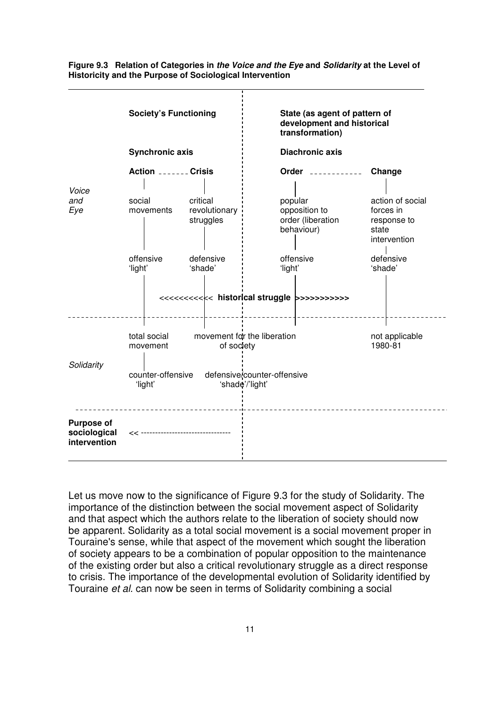

**Figure 9.3 Relation of Categories in the Voice and the Eye and Solidarity at the Level of Historicity and the Purpose of Sociological Intervention** 

Let us move now to the significance of Figure 9.3 for the study of Solidarity. The importance of the distinction between the social movement aspect of Solidarity and that aspect which the authors relate to the liberation of society should now be apparent. Solidarity as a total social movement is a social movement proper in Touraine's sense, while that aspect of the movement which sought the liberation of society appears to be a combination of popular opposition to the maintenance of the existing order but also a critical revolutionary struggle as a direct response to crisis. The importance of the developmental evolution of Solidarity identified by Touraine et al. can now be seen in terms of Solidarity combining a social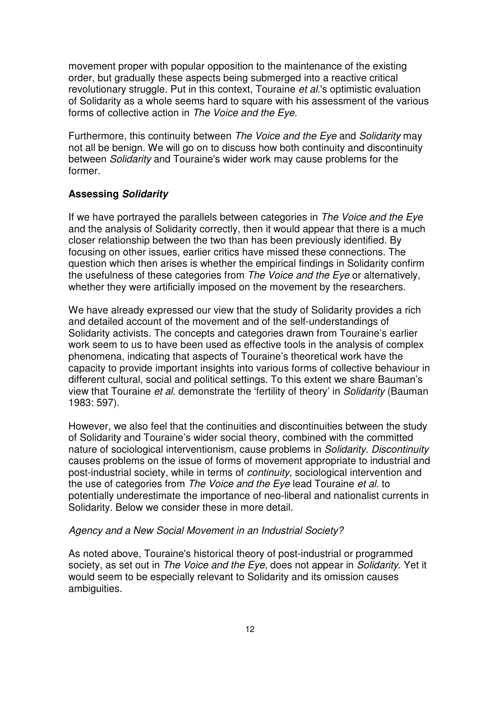movement proper with popular opposition to the maintenance of the existing order, but gradually these aspects being submerged into a reactive critical revolutionary struggle. Put in this context. Touraine *et al*.'s optimistic evaluation of Solidarity as a whole seems hard to square with his assessment of the various forms of collective action in The Voice and the Eye.

Furthermore, this continuity between The Voice and the Eye and Solidarity may not all be benign. We will go on to discuss how both continuity and discontinuity between Solidarity and Touraine's wider work may cause problems for the former.

### **Assessing Solidarity**

If we have portrayed the parallels between categories in The Voice and the Eye and the analysis of Solidarity correctly, then it would appear that there is a much closer relationship between the two than has been previously identified. By focusing on other issues, earlier critics have missed these connections. The question which then arises is whether the empirical findings in Solidarity confirm the usefulness of these categories from The Voice and the Eye or alternatively, whether they were artificially imposed on the movement by the researchers.

We have already expressed our view that the study of Solidarity provides a rich and detailed account of the movement and of the self-understandings of Solidarity activists. The concepts and categories drawn from Touraine's earlier work seem to us to have been used as effective tools in the analysis of complex phenomena, indicating that aspects of Touraine's theoretical work have the capacity to provide important insights into various forms of collective behaviour in different cultural, social and political settings. To this extent we share Bauman's view that Touraine et al. demonstrate the 'fertility of theory' in Solidarity (Bauman 1983: 597).

However, we also feel that the continuities and discontinuities between the study of Solidarity and Touraine's wider social theory, combined with the committed nature of sociological interventionism, cause problems in Solidarity. Discontinuity causes problems on the issue of forms of movement appropriate to industrial and post-industrial society, while in terms of continuity, sociological intervention and the use of categories from The Voice and the Eye lead Touraine et al. to potentially underestimate the importance of neo-liberal and nationalist currents in Solidarity. Below we consider these in more detail.

#### Agency and a New Social Movement in an Industrial Society?

As noted above, Touraine's historical theory of post-industrial or programmed society, as set out in The Voice and the Eye, does not appear in Solidarity. Yet it would seem to be especially relevant to Solidarity and its omission causes ambiguities.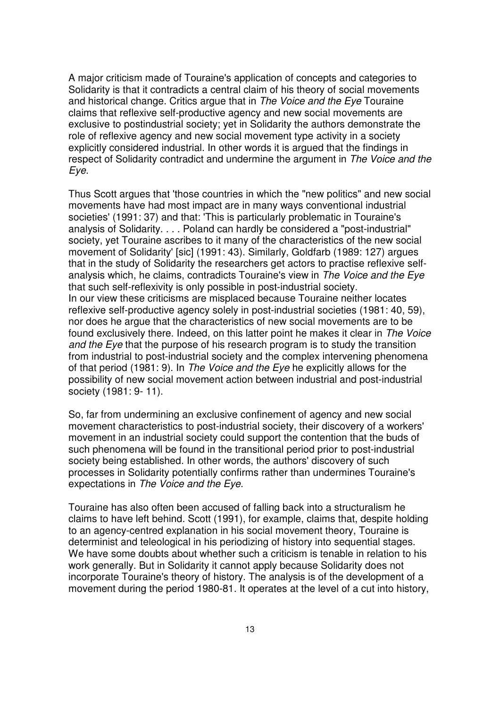A major criticism made of Touraine's application of concepts and categories to Solidarity is that it contradicts a central claim of his theory of social movements and historical change. Critics argue that in The Voice and the Eye Touraine claims that reflexive self-productive agency and new social movements are exclusive to postindustrial society; yet in Solidarity the authors demonstrate the role of reflexive agency and new social movement type activity in a society explicitly considered industrial. In other words it is argued that the findings in respect of Solidarity contradict and undermine the argument in The Voice and the Eye.

Thus Scott argues that 'those countries in which the "new politics" and new social movements have had most impact are in many ways conventional industrial societies' (1991: 37) and that: 'This is particularly problematic in Touraine's analysis of Solidarity. . . . Poland can hardly be considered a "post-industrial" society, yet Touraine ascribes to it many of the characteristics of the new social movement of Solidarity' [sic] (1991: 43). Similarly, Goldfarb (1989: 127) argues that in the study of Solidarity the researchers get actors to practise reflexive selfanalysis which, he claims, contradicts Touraine's view in The Voice and the Eye that such self-reflexivity is only possible in post-industrial society. In our view these criticisms are misplaced because Touraine neither locates reflexive self-productive agency solely in post-industrial societies (1981: 40, 59), nor does he argue that the characteristics of new social movements are to be found exclusively there. Indeed, on this latter point he makes it clear in The Voice and the Eye that the purpose of his research program is to study the transition from industrial to post-industrial society and the complex intervening phenomena of that period (1981: 9). In The Voice and the Eye he explicitly allows for the possibility of new social movement action between industrial and post-industrial society (1981: 9- 11).

So, far from undermining an exclusive confinement of agency and new social movement characteristics to post-industrial society, their discovery of a workers' movement in an industrial society could support the contention that the buds of such phenomena will be found in the transitional period prior to post-industrial society being established. In other words, the authors' discovery of such processes in Solidarity potentially confirms rather than undermines Touraine's expectations in The Voice and the Eye.

Touraine has also often been accused of falling back into a structuralism he claims to have left behind. Scott (1991), for example, claims that, despite holding to an agency-centred explanation in his social movement theory, Touraine is determinist and teleological in his periodizing of history into sequential stages. We have some doubts about whether such a criticism is tenable in relation to his work generally. But in Solidarity it cannot apply because Solidarity does not incorporate Touraine's theory of history. The analysis is of the development of a movement during the period 1980-81. It operates at the level of a cut into history,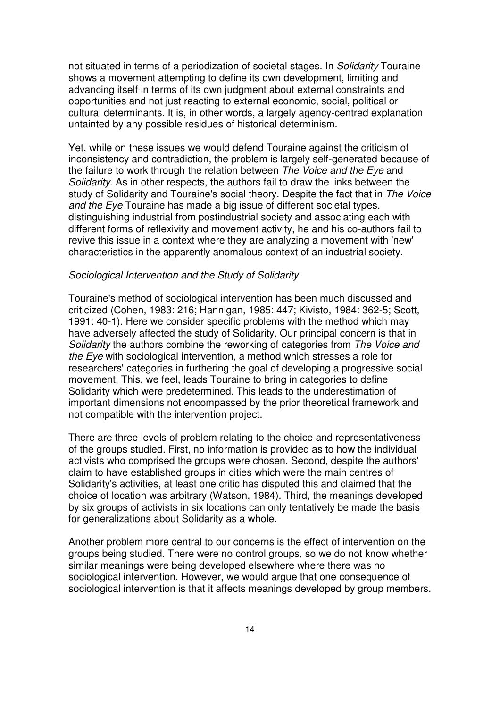not situated in terms of a periodization of societal stages. In Solidarity Touraine shows a movement attempting to define its own development, limiting and advancing itself in terms of its own judgment about external constraints and opportunities and not just reacting to external economic, social, political or cultural determinants. It is, in other words, a largely agency-centred explanation untainted by any possible residues of historical determinism.

Yet, while on these issues we would defend Touraine against the criticism of inconsistency and contradiction, the problem is largely self-generated because of the failure to work through the relation between The Voice and the Eye and Solidarity. As in other respects, the authors fail to draw the links between the study of Solidarity and Touraine's social theory. Despite the fact that in The Voice and the Eye Touraine has made a big issue of different societal types, distinguishing industrial from postindustrial society and associating each with different forms of reflexivity and movement activity, he and his co-authors fail to revive this issue in a context where they are analyzing a movement with 'new' characteristics in the apparently anomalous context of an industrial society.

#### Sociological Intervention and the Study of Solidarity

Touraine's method of sociological intervention has been much discussed and criticized (Cohen, 1983: 216; Hannigan, 1985: 447; Kivisto, 1984: 362-5; Scott, 1991: 40-1). Here we consider specific problems with the method which may have adversely affected the study of Solidarity. Our principal concern is that in Solidarity the authors combine the reworking of categories from The Voice and the Eye with sociological intervention, a method which stresses a role for researchers' categories in furthering the goal of developing a progressive social movement. This, we feel, leads Touraine to bring in categories to define Solidarity which were predetermined. This leads to the underestimation of important dimensions not encompassed by the prior theoretical framework and not compatible with the intervention project.

There are three levels of problem relating to the choice and representativeness of the groups studied. First, no information is provided as to how the individual activists who comprised the groups were chosen. Second, despite the authors' claim to have established groups in cities which were the main centres of Solidarity's activities, at least one critic has disputed this and claimed that the choice of location was arbitrary (Watson, 1984). Third, the meanings developed by six groups of activists in six locations can only tentatively be made the basis for generalizations about Solidarity as a whole.

Another problem more central to our concerns is the effect of intervention on the groups being studied. There were no control groups, so we do not know whether similar meanings were being developed elsewhere where there was no sociological intervention. However, we would argue that one consequence of sociological intervention is that it affects meanings developed by group members.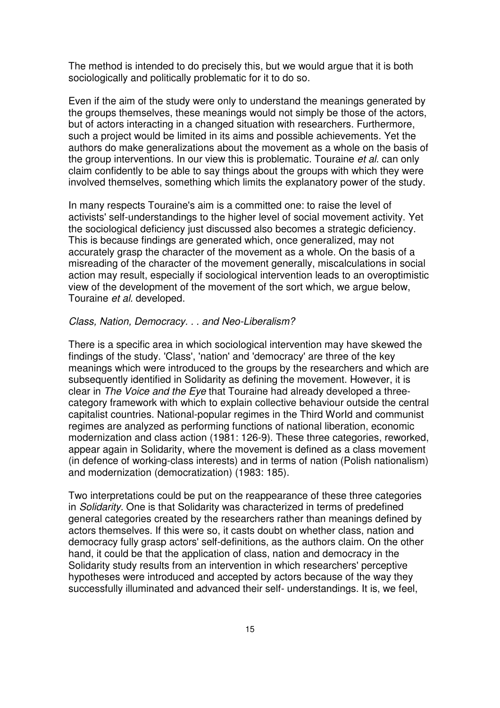The method is intended to do precisely this, but we would argue that it is both sociologically and politically problematic for it to do so.

Even if the aim of the study were only to understand the meanings generated by the groups themselves, these meanings would not simply be those of the actors, but of actors interacting in a changed situation with researchers. Furthermore, such a project would be limited in its aims and possible achievements. Yet the authors do make generalizations about the movement as a whole on the basis of the group interventions. In our view this is problematic. Touraine et al. can only claim confidently to be able to say things about the groups with which they were involved themselves, something which limits the explanatory power of the study.

In many respects Touraine's aim is a committed one: to raise the level of activists' self-understandings to the higher level of social movement activity. Yet the sociological deficiency just discussed also becomes a strategic deficiency. This is because findings are generated which, once generalized, may not accurately grasp the character of the movement as a whole. On the basis of a misreading of the character of the movement generally, miscalculations in social action may result, especially if sociological intervention leads to an overoptimistic view of the development of the movement of the sort which, we argue below, Touraine et al. developed.

# Class, Nation, Democracy. . . and Neo-Liberalism?

There is a specific area in which sociological intervention may have skewed the findings of the study. 'Class', 'nation' and 'democracy' are three of the key meanings which were introduced to the groups by the researchers and which are subsequently identified in Solidarity as defining the movement. However, it is clear in The Voice and the Eye that Touraine had already developed a threecategory framework with which to explain collective behaviour outside the central capitalist countries. National-popular regimes in the Third WorId and communist regimes are analyzed as performing functions of national liberation, economic modernization and class action (1981: 126-9). These three categories, reworked, appear again in Solidarity, where the movement is defined as a class movement (in defence of working-class interests) and in terms of nation (Polish nationalism) and modernization (democratization) (1983: 185).

Two interpretations could be put on the reappearance of these three categories in Solidarity. One is that Solidarity was characterized in terms of predefined general categories created by the researchers rather than meanings defined by actors themselves. If this were so, it casts doubt on whether class, nation and democracy fully grasp actors' self-definitions, as the authors claim. On the other hand, it could be that the application of class, nation and democracy in the Solidarity study results from an intervention in which researchers' perceptive hypotheses were introduced and accepted by actors because of the way they successfully illuminated and advanced their self- understandings. It is, we feel,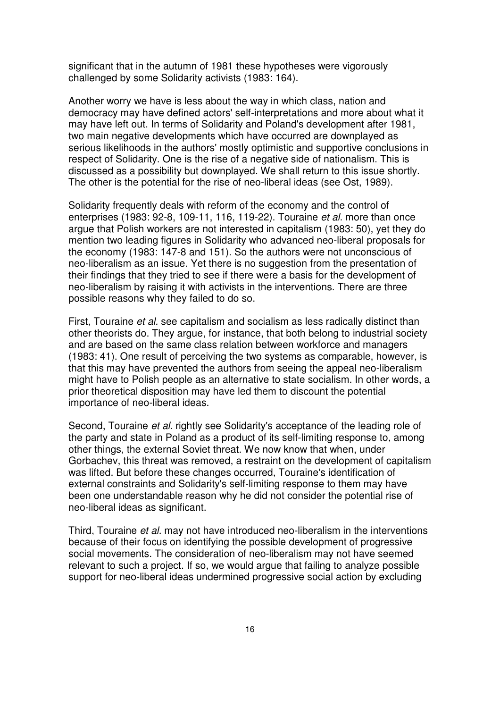significant that in the autumn of 1981 these hypotheses were vigorously challenged by some Solidarity activists (1983: 164).

Another worry we have is less about the way in which class, nation and democracy may have defined actors' self-interpretations and more about what it may have left out. In terms of Solidarity and Poland's development after 1981, two main negative developments which have occurred are downplayed as serious likelihoods in the authors' mostly optimistic and supportive conclusions in respect of Solidarity. One is the rise of a negative side of nationalism. This is discussed as a possibility but downplayed. We shall return to this issue shortly. The other is the potential for the rise of neo-liberal ideas (see Ost, 1989).

Solidarity frequently deals with reform of the economy and the control of enterprises (1983: 92-8, 109-11, 116, 119-22). Touraine et al. more than once argue that Polish workers are not interested in capitalism (1983: 50), yet they do mention two leading figures in Solidarity who advanced neo-liberal proposals for the economy (1983: 147-8 and 151). So the authors were not unconscious of neo-liberalism as an issue. Yet there is no suggestion from the presentation of their findings that they tried to see if there were a basis for the development of neo-liberalism by raising it with activists in the interventions. There are three possible reasons why they failed to do so.

First, Touraine et al. see capitalism and socialism as less radically distinct than other theorists do. They argue, for instance, that both belong to industrial society and are based on the same class relation between workforce and managers (1983: 41). One result of perceiving the two systems as comparable, however, is that this may have prevented the authors from seeing the appeal neo-liberalism might have to Polish people as an alternative to state socialism. In other words, a prior theoretical disposition may have led them to discount the potential importance of neo-liberal ideas.

Second, Touraine et al. rightly see Solidarity's acceptance of the leading role of the party and state in Poland as a product of its self-limiting response to, among other things, the external Soviet threat. We now know that when, under Gorbachev, this threat was removed, a restraint on the development of capitalism was lifted. But before these changes occurred, Touraine's identification of external constraints and Solidarity's self-limiting response to them may have been one understandable reason why he did not consider the potential rise of neo-liberal ideas as significant.

Third, Touraine et al. may not have introduced neo-liberalism in the interventions because of their focus on identifying the possible development of progressive social movements. The consideration of neo-liberalism may not have seemed relevant to such a project. If so, we would argue that failing to analyze possible support for neo-liberal ideas undermined progressive social action by excluding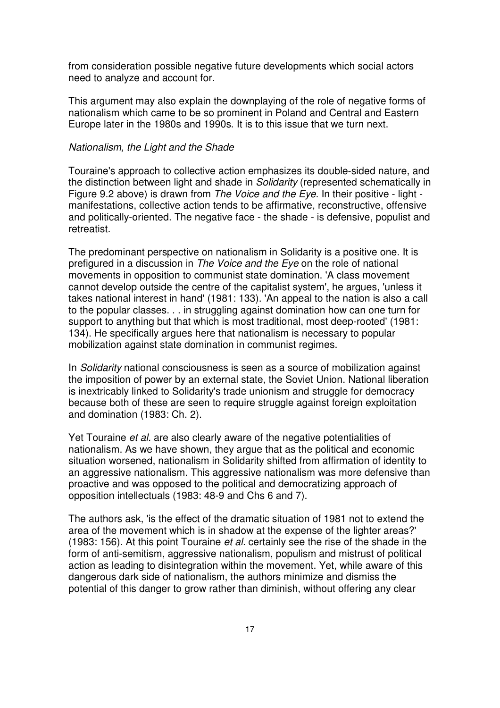from consideration possible negative future developments which social actors need to analyze and account for.

This argument may also explain the downplaying of the role of negative forms of nationalism which came to be so prominent in Poland and Central and Eastern Europe later in the 1980s and 1990s. It is to this issue that we turn next.

#### Nationalism, the Light and the Shade

Touraine's approach to collective action emphasizes its double-sided nature, and the distinction between light and shade in Solidarity (represented schematically in Figure 9.2 above) is drawn from The Voice and the Eye. In their positive - light manifestations, collective action tends to be affirmative, reconstructive, offensive and politically-oriented. The negative face - the shade - is defensive, populist and retreatist.

The predominant perspective on nationalism in Solidarity is a positive one. It is prefigured in a discussion in The Voice and the Eve on the role of national movements in opposition to communist state domination. 'A class movement cannot develop outside the centre of the capitalist system', he argues, 'unless it takes national interest in hand' (1981: 133). 'An appeal to the nation is also a call to the popular classes. . . in struggling against domination how can one turn for support to anything but that which is most traditional, most deep-rooted' (1981: 134). He specifically argues here that nationalism is necessary to popular mobilization against state domination in communist regimes.

In Solidarity national consciousness is seen as a source of mobilization against the imposition of power by an external state, the Soviet Union. National liberation is inextricably linked to Solidarity's trade unionism and struggle for democracy because both of these are seen to require struggle against foreign exploitation and domination (1983: Ch. 2).

Yet Touraine et al. are also clearly aware of the negative potentialities of nationalism. As we have shown, they argue that as the political and economic situation worsened, nationalism in Solidarity shifted from affirmation of identity to an aggressive nationalism. This aggressive nationalism was more defensive than proactive and was opposed to the political and democratizing approach of opposition intellectuals (1983: 48-9 and Chs 6 and 7).

The authors ask, 'is the effect of the dramatic situation of 1981 not to extend the area of the movement which is in shadow at the expense of the lighter areas?' (1983: 156). At this point Touraine et al. certainly see the rise of the shade in the form of anti-semitism, aggressive nationalism, populism and mistrust of political action as leading to disintegration within the movement. Yet, while aware of this dangerous dark side of nationalism, the authors minimize and dismiss the potential of this danger to grow rather than diminish, without offering any clear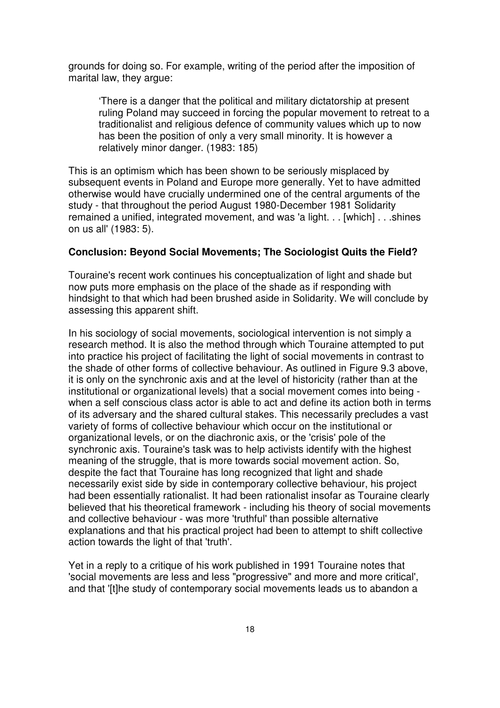grounds for doing so. For example, writing of the period after the imposition of marital law, they argue:

'There is a danger that the political and military dictatorship at present ruling Poland may succeed in forcing the popular movement to retreat to a traditionalist and religious defence of community values which up to now has been the position of only a very small minority. It is however a relatively minor danger. (1983: 185)

This is an optimism which has been shown to be seriously misplaced by subsequent events in Poland and Europe more generally. Yet to have admitted otherwise would have crucially undermined one of the central arguments of the study - that throughout the period August 1980-December 1981 Solidarity remained a unified, integrated movement, and was 'a light. . . [which] . . .shines on us all' (1983: 5).

# **Conclusion: Beyond Social Movements; The Sociologist Quits the Field?**

Touraine's recent work continues his conceptualization of light and shade but now puts more emphasis on the place of the shade as if responding with hindsight to that which had been brushed aside in Solidarity. We will conclude by assessing this apparent shift.

In his sociology of social movements, sociological intervention is not simply a research method. It is also the method through which Touraine attempted to put into practice his project of facilitating the light of social movements in contrast to the shade of other forms of collective behaviour. As outlined in Figure 9.3 above, it is only on the synchronic axis and at the level of historicity (rather than at the institutional or organizational levels) that a social movement comes into being when a self conscious class actor is able to act and define its action both in terms of its adversary and the shared cultural stakes. This necessarily precludes a vast variety of forms of collective behaviour which occur on the institutional or organizational levels, or on the diachronic axis, or the 'crisis' pole of the synchronic axis. Touraine's task was to help activists identify with the highest meaning of the struggle, that is more towards social movement action. So, despite the fact that Touraine has long recognized that light and shade necessarily exist side by side in contemporary collective behaviour, his project had been essentially rationalist. It had been rationalist insofar as Touraine clearly believed that his theoretical framework - including his theory of social movements and collective behaviour - was more 'truthful' than possible alternative explanations and that his practical project had been to attempt to shift collective action towards the light of that 'truth'.

Yet in a reply to a critique of his work published in 1991 Touraine notes that 'social movements are less and less "progressive" and more and more critical', and that '[t]he study of contemporary social movements leads us to abandon a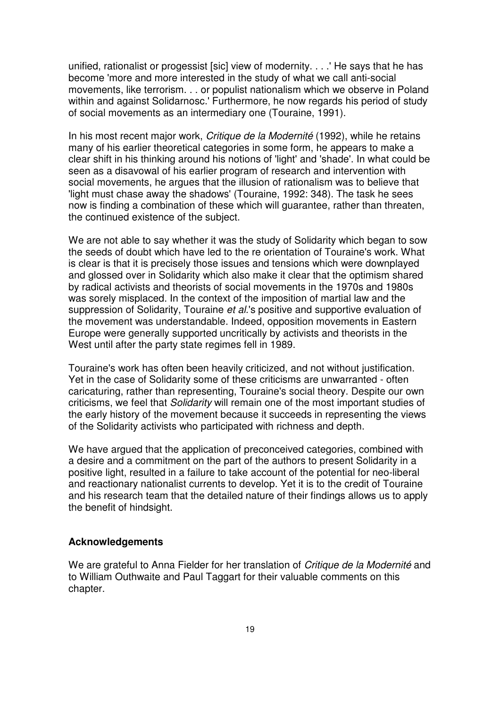unified, rationalist or progessist [sic] view of modernity. . . .' He says that he has become 'more and more interested in the study of what we call anti-social movements, like terrorism. . . or populist nationalism which we observe in Poland within and against Solidarnosc.' Furthermore, he now regards his period of study of social movements as an intermediary one (Touraine, 1991).

In his most recent major work, Critique de la Modernité (1992), while he retains many of his earlier theoretical categories in some form, he appears to make a clear shift in his thinking around his notions of 'light' and 'shade'. In what could be seen as a disavowal of his earlier program of research and intervention with social movements, he argues that the illusion of rationalism was to believe that 'light must chase away the shadows' (Touraine, 1992: 348). The task he sees now is finding a combination of these which will guarantee, rather than threaten, the continued existence of the subject.

We are not able to say whether it was the study of Solidarity which began to sow the seeds of doubt which have led to the re orientation of Touraine's work. What is clear is that it is precisely those issues and tensions which were downplayed and glossed over in Solidarity which also make it clear that the optimism shared by radical activists and theorists of social movements in the 1970s and 1980s was sorely misplaced. In the context of the imposition of martial law and the suppression of Solidarity, Touraine et al.'s positive and supportive evaluation of the movement was understandable. Indeed, opposition movements in Eastern Europe were generally supported uncritically by activists and theorists in the West until after the party state regimes fell in 1989.

Touraine's work has often been heavily criticized, and not without justification. Yet in the case of Solidarity some of these criticisms are unwarranted - often caricaturing, rather than representing, Touraine's social theory. Despite our own criticisms, we feel that Solidarity will remain one of the most important studies of the early history of the movement because it succeeds in representing the views of the Solidarity activists who participated with richness and depth.

We have argued that the application of preconceived categories, combined with a desire and a commitment on the part of the authors to present Solidarity in a positive light, resulted in a failure to take account of the potential for neo-liberal and reactionary nationalist currents to develop. Yet it is to the credit of Touraine and his research team that the detailed nature of their findings allows us to apply the benefit of hindsight.

### **Acknowledgements**

We are grateful to Anna Fielder for her translation of Critique de la Modernité and to William Outhwaite and Paul Taggart for their valuable comments on this chapter.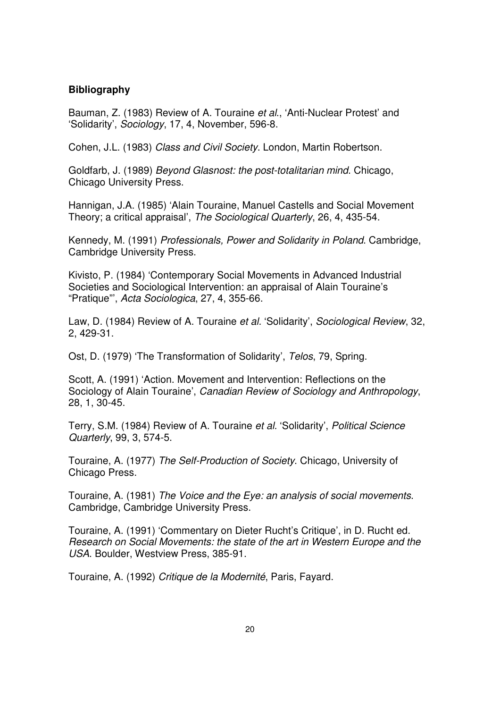### **Bibliography**

Bauman, Z. (1983) Review of A. Touraine et al., 'Anti-Nuclear Protest' and 'Solidarity', Sociology, 17, 4, November, 596-8.

Cohen, J.L. (1983) Class and Civil Society. London, Martin Robertson.

Goldfarb, J. (1989) Beyond Glasnost: the post-totalitarian mind. Chicago, Chicago University Press.

Hannigan, J.A. (1985) 'Alain Touraine, Manuel Castells and Social Movement Theory; a critical appraisal', The Sociological Quarterly, 26, 4, 435-54.

Kennedy, M. (1991) Professionals, Power and Solidarity in Poland. Cambridge, Cambridge University Press.

Kivisto, P. (1984) 'Contemporary Social Movements in Advanced Industrial Societies and Sociological Intervention: an appraisal of Alain Touraine's "Pratique"', Acta Sociologica, 27, 4, 355-66.

Law, D. (1984) Review of A. Touraine et al. 'Solidarity', Sociological Review, 32, 2, 429-31.

Ost, D. (1979) 'The Transformation of Solidarity', Telos, 79, Spring.

Scott, A. (1991) 'Action. Movement and Intervention: Reflections on the Sociology of Alain Touraine', Canadian Review of Sociology and Anthropology, 28, 1, 30-45.

Terry, S.M. (1984) Review of A. Touraine et al. 'Solidarity', Political Science Quarterly, 99, 3, 574-5.

Touraine, A. (1977) The Self-Production of Society. Chicago, University of Chicago Press.

Touraine, A. (1981) The Voice and the Eye: an analysis of social movements. Cambridge, Cambridge University Press.

Touraine, A. (1991) 'Commentary on Dieter Rucht's Critique', in D. Rucht ed. Research on Social Movements: the state of the art in Western Europe and the USA. Boulder, Westview Press, 385-91.

Touraine, A. (1992) Critique de la Modernité, Paris, Favard.